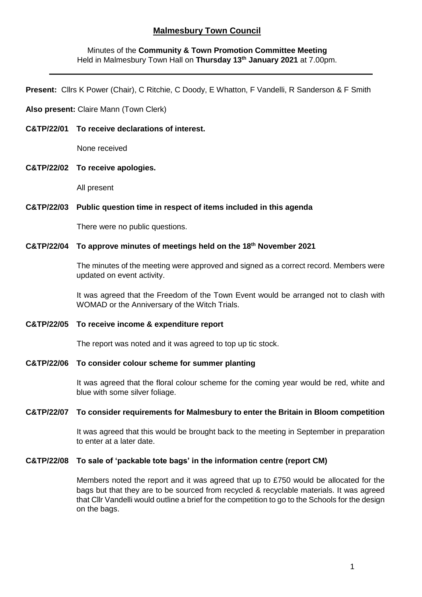# **Malmesbury Town Council**

# Minutes of the **Community & Town Promotion Committee Meeting** Held in Malmesbury Town Hall on **Thursday 13th January 2021** at 7.00pm.

**Present:** Cllrs K Power (Chair), C Ritchie, C Doody, E Whatton, F Vandelli, R Sanderson & F Smith

## **Also present:** Claire Mann (Town Clerk)

**C&TP/22/01 To receive declarations of interest.**

None received

**C&TP/22/02 To receive apologies.**

All present

#### **C&TP/22/03 Public question time in respect of items included in this agenda**

There were no public questions.

## **C&TP/22/04 To approve minutes of meetings held on the 18th November 2021**

The minutes of the meeting were approved and signed as a correct record. Members were updated on event activity.

It was agreed that the Freedom of the Town Event would be arranged not to clash with WOMAD or the Anniversary of the Witch Trials.

## **C&TP/22/05 To receive income & expenditure report**

The report was noted and it was agreed to top up tic stock.

## **C&TP/22/06 To consider colour scheme for summer planting**

It was agreed that the floral colour scheme for the coming year would be red, white and blue with some silver foliage.

### **C&TP/22/07 To consider requirements for Malmesbury to enter the Britain in Bloom competition**

It was agreed that this would be brought back to the meeting in September in preparation to enter at a later date.

### **C&TP/22/08 To sale of 'packable tote bags' in the information centre (report CM)**

Members noted the report and it was agreed that up to £750 would be allocated for the bags but that they are to be sourced from recycled & recyclable materials. It was agreed that Cllr Vandelli would outline a brief for the competition to go to the Schools for the design on the bags.